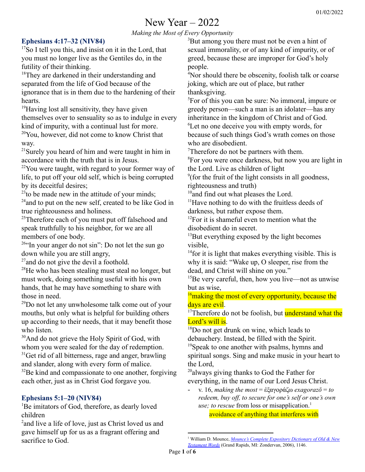# New Year – 2022

*Making the Most of Every Opportunity*

## **Ephesians 4:17–32 (NIV84)**

<sup>17</sup>So I tell you this, and insist on it in the Lord, that you must no longer live as the Gentiles do, in the futility of their thinking.

<sup>18</sup>They are darkened in their understanding and separated from the life of God because of the ignorance that is in them due to the hardening of their hearts.

<sup>19</sup>Having lost all sensitivity, they have given themselves over to sensuality so as to indulge in every kind of impurity, with a continual lust for more. <sup>20</sup>You, however, did not come to know Christ that way.

 $21$ Surely you heard of him and were taught in him in accordance with the truth that is in Jesus.

 $22$ You were taught, with regard to your former way of life, to put off your old self, which is being corrupted by its deceitful desires;

 $^{23}$ to be made new in the attitude of your minds;

 $24$ and to put on the new self, created to be like God in true righteousness and holiness.

<sup>25</sup>Therefore each of you must put off falsehood and speak truthfully to his neighbor, for we are all members of one body.

 $26$ "In your anger do not sin": Do not let the sun go down while you are still angry,

<sup>27</sup> and do not give the devil a foothold.

 $28$ He who has been stealing must steal no longer, but must work, doing something useful with his own hands, that he may have something to share with those in need.

 $^{29}$ Do not let any unwholesome talk come out of your mouths, but only what is helpful for building others up according to their needs, that it may benefit those who listen.

<sup>30</sup>And do not grieve the Holy Spirit of God, with whom you were sealed for the day of redemption.  $31$ Get rid of all bitterness, rage and anger, brawling and slander, along with every form of malice.

 $32$ Be kind and compassionate to one another, forgiving each other, just as in Christ God forgave you.

## **Ephesians 5:1–20 (NIV84)**

<sup>1</sup>Be imitators of God, therefore, as dearly loved children

<sup>2</sup> and live a life of love, just as Christ loved us and gave himself up for us as a fragrant offering and sacrifice to God.

<sup>3</sup>But among you there must not be even a hint of sexual immorality, or of any kind of impurity, or of greed, because these are improper for God's holy people.

<sup>4</sup>Nor should there be obscenity, foolish talk or coarse joking, which are out of place, but rather thanksgiving.

<sup>5</sup>For of this you can be sure: No immoral, impure or greedy person—such a man is an idolater—has any inheritance in the kingdom of Christ and of God. <sup>6</sup>Let no one deceive you with empty words, for because of such things God's wrath comes on those who are disobedient.

<sup>7</sup>Therefore do not be partners with them.

<sup>8</sup>For you were once darkness, but now you are light in the Lord. Live as children of light

9 (for the fruit of the light consists in all goodness, righteousness and truth)

<sup>10</sup>and find out what pleases the Lord.

 $<sup>11</sup>$  Have nothing to do with the fruitless deeds of</sup> darkness, but rather expose them.

 $12$ For it is shameful even to mention what the disobedient do in secret.

<sup>13</sup>But everything exposed by the light becomes visible,

<sup>14</sup> for it is light that makes everything visible. This is why it is said: "Wake up, O sleeper, rise from the dead, and Christ will shine on you."

 $15$ Be very careful, then, how you live—not as unwise but as wise,

 $16$ making the most of every opportunity, because the days are evil.

<sup>17</sup>Therefore do not be foolish, but **understand what the** Lord's will is.

 $^{18}$ Do not get drunk on wine, which leads to debauchery. Instead, be filled with the Spirit.

<sup>19</sup>Speak to one another with psalms, hymns and spiritual songs. Sing and make music in your heart to the Lord,

<sup>20</sup>always giving thanks to God the Father for everything, in the name of our Lord Jesus Christ.

- v. 16, *making the most* = ἐξαγοράζω *exagorazō* = *to redeem, buy of , to secure for one's self or one's own use; to rescue* from loss or misapplication. 1

avoidance of anything that interferes with

<sup>1</sup> William D. Mounce, *Mounce's Complete [Expository](https://ref.ly/logosres/mounceexpdic?ref=GreekGK.GGK1973&off=112&ctx=al.+3%3a13%3b+4%3a5%3b+mid.+~to+redeem%2c+buy+off%2c+) Dictionary of Old & New [Testament](https://ref.ly/logosres/mounceexpdic?ref=GreekGK.GGK1973&off=112&ctx=al.+3%3a13%3b+4%3a5%3b+mid.+~to+redeem%2c+buy+off%2c+) Words* (Grand Rapids, MI: Zondervan, 2006), 1146.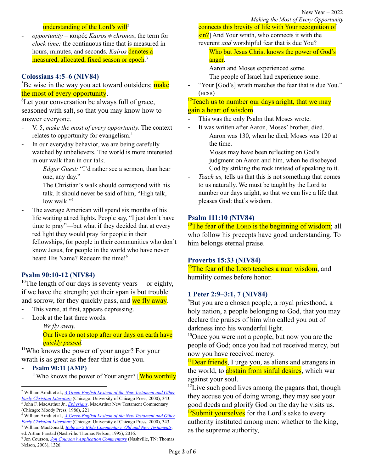#### understanding of the Lord's will<sup>2</sup>

- *opportunity* = καιρός *Kairos* ≠ *chronos*, the term for *clock time:* the continuous time that is measured in hours, minutes, and seconds. *Kairos* denotes a measured, allocated, fixed season or epoch.<sup>3</sup>

#### **Colossians 4:5–6 (NIV84)**

<sup>5</sup>Be wise in the way you act toward outsiders; make the most of every opportunity.

<sup>6</sup>Let your conversation be always full of grace, seasoned with salt, so that you may know how to answer everyone.

- V. 5, *make the most of every opportunity.* The context relates to opportunity for evangelism. 4
- In our everyday behavior, we are being carefully watched by unbelievers. The world is more interested in our walk than in our talk.

*Edgar Guest:* "I'd rather see a sermon, than hear one, any day."

The Christian's walk should correspond with his talk. It should never be said of him, "High talk, low walk."<sup>5</sup>

The average American will spend six months of his life waiting at red lights. People say, "I just don't have time to pray"—but what if they decided that at every red light they would pray for people in their fellowships, for people in their communities who don't know Jesus, for people in the world who have never heard His Name? Redeem the time! 6

#### **Psalm 90:10-12 (NIV84)**

<sup>10</sup>The length of our days is seventy years— or eighty, if we have the strength; yet their span is but trouble and sorrow, for they quickly pass, and we fly away.

- This verse, at first, appears depressing.
- Look at the last three words.

*We fly away.* Our lives do not stop after our days on earth have *quickly passed.*

<sup>11</sup>Who knows the power of your anger? For your wrath is as great as the fear that is due you.

- **Psalm 90:11 (AMP)**

<sup>11</sup>Who knows the power of Your anger? [Who worthily

<sup>5</sup> William MacDonald, *Believer's Bible [Commentary:](https://ref.ly/logosres/blvrcomm?ref=Bible.Col4.5&off=67&ctx=se+who+are+outside.+~In+their+everyday+be) Old and New Testaments*, ed. Arthur Farstad (Nashville: Thomas Nelson, 1995), 2016. <sup>4</sup> William Arndt et al., *A [Greek-English](https://ref.ly/logosres/bdag?ref=Page.p+343&off=3958&ctx=t+comes+your+way%E2%80%99.+(~The+context+of+Col.+) Lexicon of the New Testament and Other Early Christian [Literature](https://ref.ly/logosres/bdag?ref=Page.p+343&off=3958&ctx=t+comes+your+way%E2%80%99.+(~The+context+of+Col.+)* (Chicago: University of Chicago Press, 2000), 343.

New Year – 2022 *Making the Most of Every Opportunity*

connects this brevity of life with Your recognition of sin?] And Your wrath, who connects it with the reverent *and* worshipful fear that is due You?

Who but Jesus Christ knows the power of God's anger.

Aaron and Moses experienced some.

The people of Israel had experience some.

"Your [God's] wrath matches the fear that is due You." (HCSB)

## $12$ Teach us to number our days aright, that we may gain a heart of wisdom.

- This was the only Psalm that Moses wrote.
- It was written after Aaron, Moses' brother, died. Aaron was 130, when he died; Moses was 120 at the time.

Moses may have been reflecting on God's judgment on Aaron and him, when he disobeyed God by striking the rock instead of speaking to it.

*Teach us,* tells us that this is not something that comes to us naturally. We must be taught by the Lord to number our days aright, so that we can live a life that pleases God: that's wisdom.

#### **Psalm 111:10 (NIV84)**

 $10$ <sup>n</sup>The fear of the LORD is the beginning of wisdom; all who follow his precepts have good understanding. To him belongs eternal praise.

#### **Proverbs 15:33 (NIV84)**

 $33$ The fear of the LORD teaches a man wisdom, and humility comes before honor.

#### **1 Peter 2:9–3:1, 7 (NIV84)**

<sup>9</sup>But you are a chosen people, a royal priesthood, a holy nation, a people belonging to God, that you may declare the praises of him who called you out of darkness into his wonderful light.

<sup>10</sup>Once you were not a people, but now you are the people of God; once you had not received mercy, but now you have received mercy.

<sup>11</sup>Dear friends, I urge you, as aliens and strangers in the world, to **abstain from sinful desires**, which war against your soul.

<sup>12</sup>Live such good lives among the pagans that, though they accuse you of doing wrong, they may see your good deeds and glorify God on the day he visits us.  $\frac{13}{3}$ Submit yourselves for the Lord's sake to every authority instituted among men: whether to the king, as the supreme authority,

<sup>3</sup> John F. MacArthur Jr., *[Ephesians](https://ref.ly/logosres/ephmntc?ref=Bible.Eph5.16&off=925&ctx=most+of+%5bhis%5d+time.%0a~Paul+did+not+here+us)*, MacArthur New Testament Commentary (Chicago: Moody Press, 1986), 221. <sup>2</sup> William Arndt et al., *A [Greek-English](https://ref.ly/logosres/bdag?ref=Page.p+343&off=3773&ctx=+5%3a16+appropriately+~expresses+choice+in+) Lexicon of the New Testament and Other Early Christian [Literature](https://ref.ly/logosres/bdag?ref=Page.p+343&off=3773&ctx=+5%3a16+appropriately+~expresses+choice+in+)* (Chicago: University of Chicago Press, 2000), 343.

<sup>6</sup> Jon Courson, *Jon Courson's Application [Commentary](https://ref.ly/logosres/crsnappcom?ref=Bible.Col4.5&off=380&ctx=+study+such+things%2c+~the+average+American)* (Nashville, TN: Thomas Nelson, 2003), 1326.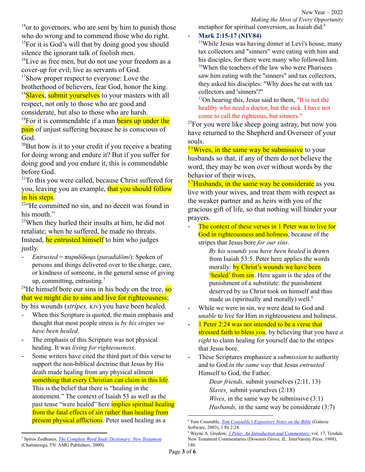$14$ <sup>14</sup> or to governors, who are sent by him to punish those who do wrong and to commend those who do right. <sup>15</sup>For it is God's will that by doing good you should

silence the ignorant talk of foolish men.

<sup>16</sup>Live as free men, but do not use your freedom as a cover-up for evil; live as servants of God.

<sup>17</sup>Show proper respect to everyone: Love the brotherhood of believers, fear God, honor the king. <sup>18</sup>Slaves, submit yourselves to your masters with all respect, not only to those who are good and

considerate, but also to those who are harsh. <sup>19</sup>For it is commendable if a man **bears up under the pain** of unjust suffering because he is conscious of God.

<sup>20</sup>But how is it to your credit if you receive a beating for doing wrong and endure it? But if you suffer for doing good and you endure it, this is commendable before God.

 $21$ To this you were called, because Christ suffered for you, leaving you an example, that you should follow in his steps.

<sup>22"</sup>He committed no sin, and no deceit was found in his mouth."

 $23$ When they hurled their insults at him, he did not retaliate; when he suffered, he made no threats. Instead, he entrusted himself to him who judges justly.

- *Entrusted* = παραδίδωμι (*paradidōmi*): Spoken of persons and things delivered over to the charge, care, or kindness of someone, in the general sense of giving up, committing, entrusting.<sup>7</sup>

<sup>24</sup>He himself bore our sins in his body on the tree,  $\frac{1}{50}$ that we might die to sins and live for righteousness;

by his wounds (*stripes,* KJV) you have been healed.

- When this Scripture is quoted, the main emphasis and thought that most people stress is *by his stripes we have been healed.*
- The emphasis of this Scripture was not physical healing. It was *living for righteousness*.
- Some writers have cited the third part of this verse to support the non-biblical doctrine that Jesus by His death made healing from any physical ailment something that every Christian can claim in this life. This is the belief that there is "healing in the atonement." The context of Isaiah 53 as well as the past tense "were healed" here implies spiritual healing from the fatal effects of sin rather than healing from present physical afflictions. Peter used healing as a

*Making the Most of Every Opportunity* metaphor for spiritual conversion, as Isaiah did.<sup>8</sup>

#### - **Mark 2:15-17 (NIV84)**

<sup>15</sup>While Jesus was having dinner at Levi's house, many tax collectors and "sinners" were eating with him and his disciples, for there were many who followed him. <sup>16</sup>When the teachers of the law who were Pharisees saw him eating with the "sinners" and tax collectors, they asked his disciples: "Why does he eat with tax collectors and 'sinners'?"

<sup>17</sup>On hearing this, Jesus said to them, "It is not the healthy who need a doctor, but the sick. I have not come to call the righteous, but sinners."

<sup>25</sup>For you were like sheep going astray, but now you have returned to the Shepherd and Overseer of your souls.

 $3.1$ Wives, in the same way be submissive to your husbands so that, if any of them do not believe the word, they may be won over without words by the behavior of their wives,

 $3.7$ Husbands, in the same way be considerate as you live with your wives, and treat them with respect as the weaker partner and as heirs with you of the gracious gift of life, so that nothing will hinder your prayers.

The context of these verses in 1 Peter was to live for God in righteousness and holiness, because of the stripes that Jesus bore *for our sins*.

*By his wounds you have been healed* is drawn from Isaiah 53:5. Peter here applies the words morally: by Christ's wounds we have been 'healed' from sin. Here again is the idea of the punishment of a substitute: the punishment deserved by us Christ took on himself and thus made us (spiritually and morally) well.<sup>9</sup>

- While we were in sin, we were dead to God and *unable* to live for Him in righteousness and holiness.
- 1 Peter 2:24 was not intended to be a verse that stressed faith to bless *you,* by believing that you have *a right* to claim healing for yourself due to the stripes that Jesus bore.
- These Scriptures emphasize a *submission* to authority and to God *in the same way* that Jesus *entrusted* Himself to God, the Father.

*Dear friends,* submit yourselves (2:11, 13) *Slaves¸* submit yourselves (2:18) *Wives,* in the same way be submissive (3:1) *Husbands,* in the same way be considerate (3:7)

<sup>8</sup> Tom Constable, *Tom [Constable's](https://ref.ly/logosres/gs-tc-notes?ref=Bible.1Pe2.24&off=682&ctx=ife+of+sinning.%E2%80%9D106%0a~Some+writers+have+ci) Expository Notes on the Bible* (Galaxie Software, 2003), 1 Pe 2:24.

<sup>9</sup> Wayne A. Grudem, *1 Peter: An Introduction and [Commentary](https://ref.ly/logosres/tntc81pe1us?ref=Bible.1Pe2.24&off=2262&ctx=tification+of+life.%0a~By+his+wounds+you+ha)*, vol. 17, Tyndale New Testament Commentaries (Downers Grove, IL: InterVarsity Press, 1988), 140.

<sup>7</sup> Spiros Zodhiates, *The Complete Word Study [Dictionary:](https://ref.ly/logosres/wsntdict?ref=GreekStrongs.3860&off=1974&ctx=%3a24%2c+26%2c+28).%0a(III)+~Spoken+of+persons+an) New Testament* (Chattanooga, TN: AMG Publishers, 2000).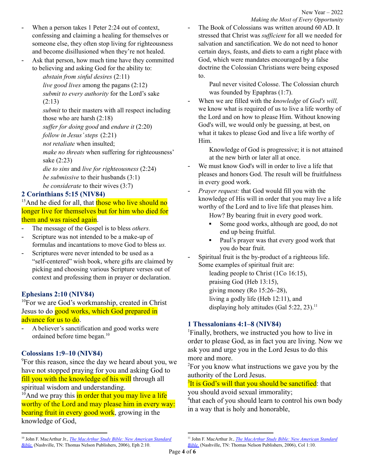- When a person takes 1 Peter 2:24 out of context, confessing and claiming a healing for themselves or someone else, they often stop living for righteousness and become disillusioned when they're not healed.
- Ask that person, how much time have they committed to believing and asking God for the ability to:

*abstain from sinful desires* (2:11)

*live good lives* among the pagans (2:12) *submit to every authority* for the Lord's sake (2:13)

*submit* to their masters with all respect including those who are harsh (2:18)

*suf er for doing good* and *endure it* (2:20)

*follow in Jesus'steps* (2:21)

*not retaliate* when insulted;

*make no threats* when suffering for righteousness' sake (2:23)

*die to sins* and *live for righteousness* (2:24) *be submissive* to their husbands (3:1) *be considerate* to their wives (3:7)

## **2 Corinthians 5:15 (NIV84)**

<sup>15</sup>And he died for all, that those who live should no longer live for themselves but for him who died for them and was raised again.

- The message of the Gospel is to bless *others*.
- Scripture was not intended to be a make-up of formulas and incantations to move God to bless *us.*
- Scriptures were never intended to be used as a "self-centered" wish book, where gifts are claimed by picking and choosing various Scripture verses out of context and professing them in prayer or declaration.

# **Ephesians 2:10 (NIV84)**

 $10$ For we are God's workmanship, created in Christ Jesus to do good works, which God prepared in advance for us to do.

A believer's sanctification and good works were ordained before time began. 10

## **Colossians 1:9–10 (NIV84)**

<sup>9</sup>For this reason, since the day we heard about you, we have not stopped praying for you and asking God to fill you with the knowledge of his will through all spiritual wisdom and understanding.

 $10$ And we pray this in order that you may live a life worthy of the Lord and may please him in every way: bearing fruit in every good work, growing in the knowledge of God,

The Book of Colossians was written around 60 AD. It stressed that Christ was *sufficient* for all we needed for salvation and sanctification. We do not need to honor certain days, feasts, and diets to earn a right place with God, which were mandates encouraged by a false doctrine the Colossian Christians were being exposed to.

Paul never visited Colosse. The Colossian church was founded by Epaphras (1:7).

- When we are filled with the *knowledge* of *God's will,* we know what is required of us to live a life worthy of the Lord and on how to please Him. Without knowing God's will, we would only be guessing, at best, on what it takes to please God and live a life worthy of Him.

> Knowledge of God is progressive; it is not attained at the new birth or later all at once.

- We must know God's will in order to live a life that pleases and honors God. The result will be fruitfulness in every good work.
- *Prayer request:* that God would fill you with the knowledge of His will in order that you may live a life worthy of the Lord and to live life that pleases him.

How? By bearing fruit in every good work.

- Some good works, although are good, do not end up being fruitful.
- Paul's prayer was that every good work that you do bear fruit.
- Spiritual fruit is the by-product of a righteous life. Some examples of spiritual fruit are:

leading people to Christ (1Co 16:15), praising God (Heb 13:15), giving money (Ro 15:26–28), living a godly life (Heb 12:11), and displaying holy attitudes (Gal 5:22, 23). 11

# **1 Thessalonians 4:1–8 (NIV84)**

<sup>1</sup>Finally, brothers, we instructed you how to live in order to please God, as in fact you are living. Now we ask you and urge you in the Lord Jesus to do this more and more.

<sup>2</sup>For you know what instructions we gave you by the authority of the Lord Jesus.

<sup>3</sup>It is God's will that you should be sanctified: that you should avoid sexual immorality;

<sup>4</sup> that each of you should learn to control his own body in a way that is holy and honorable,

<sup>10</sup> John F. MacArthur Jr., *The [MacArthur](https://ref.ly/logosres/macartsbnasb?ref=Bible.Eph2.10&off=257&ctx=Like+his+salvation%2c+~a+believer%E2%80%99s+sanctif) Study Bible: New American Standard [Bible.](https://ref.ly/logosres/macartsbnasb?ref=Bible.Eph2.10&off=257&ctx=Like+his+salvation%2c+~a+believer%E2%80%99s+sanctif)* (Nashville, TN: Thomas Nelson Publishers, 2006), Eph 2:10.

<sup>11</sup> John F. MacArthur Jr., *The [MacArthur](https://ref.ly/logosres/macartsbnasb?ref=Bible.Col1.10&off=257&ctx=+Ro+1%3a13%3b+Php+4%3a17.+~Spiritual+fruit+is+t) Study Bible: New American Standard [Bible.](https://ref.ly/logosres/macartsbnasb?ref=Bible.Col1.10&off=257&ctx=+Ro+1%3a13%3b+Php+4%3a17.+~Spiritual+fruit+is+t)* (Nashville, TN: Thomas Nelson Publishers, 2006), Col 1:10.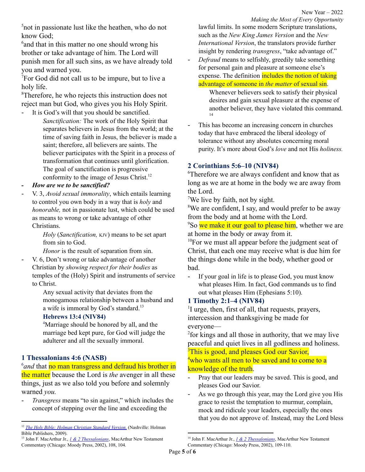<sup>5</sup>not in passionate lust like the heathen, who do not know God;

<sup>6</sup> and that in this matter no one should wrong his brother or take advantage of him. The Lord will punish men for all such sins, as we have already told you and warned you.

<sup>7</sup>For God did not call us to be impure, but to live a holy life.

<sup>8</sup>Therefore, he who rejects this instruction does not reject man but God, who gives you his Holy Spirit.

- It is God's will that you should be sanctified. *Sanctification:* The work of the Holy Spirit that separates believers in Jesus from the world; at the time of saving faith in Jesus, the believer is made a saint; therefore, all believers are saints. The believer participates with the Spirit in a process of transformation that continues until glorification. The goal of sanctification is progressive conformity to the image of Jesus Christ. 12
- *- How are we to be sanctified?*
- V. 3, *Avoid sexual immorality*, which entails learning to control you own body in a way that is *holy* and *honorable,* not in passionate lust, which could be used as means to wrong or take advantage of other Christians.

*Holy* (*Sanctification,* KJV) means to be set apart from sin to God.

*Honor* is the result of separation from sin.

- V. 6, Don't wrong or take advantage of another Christian by *showing respect for their bodies* as temples of the (Holy) Spirit and instruments of service to Christ.

> Any sexual activity that deviates from the monogamous relationship between a husband and a wife is immoral by God's standard.<sup>13</sup>

## **Hebrews 13:4 (NIV84)**

<sup>4</sup>Marriage should be honored by all, and the marriage bed kept pure, for God will judge the adulterer and all the sexually immoral.

## **1 Thessalonians 4:6 (NASB)**

<sup>6</sup> and that no man transgress and defraud his brother in the matter because the Lord is *the* avenger in all these things, just as we also told you before and solemnly warned *you.*

- *Transgress* means "to sin against," which includes the concept of stepping over the line and exceeding the

*Making the Most of Every Opportunity* lawful limits. In some modern Scripture translations, such as the *New King James Version* and the *New International Version*, the translators provide further insight by rendering *transgress*, "take advantage of."

- *Defraud* means to selfishly, greedily take something for personal gain and pleasure at someone else's expense. The definition includes the notion of taking advantage of someone in *the matter* of sexual sin.

> Whenever believers seek to satisfy their physical desires and gain sexual pleasure at the expense of another believer, they have violated this command. 14

This has become an increasing concern in churches today that have embraced the liberal ideology of tolerance without any absolutes concerning moral purity. It's more about God's *love* and not His *holiness.*

## **2 Corinthians 5:6–10 (NIV84)**

<sup>6</sup>Therefore we are always confident and know that as long as we are at home in the body we are away from the Lord.

<sup>7</sup>We live by faith, not by sight.

<sup>8</sup>We are confident, I say, and would prefer to be away from the body and at home with the Lord.

<sup>9</sup>So we make it our goal to please him, whether we are at home in the body or away from it.

 $10$ For we must all appear before the judgment seat of Christ, that each one may receive what is due him for the things done while in the body, whether good or bad.

If your goal in life is to please God, you must know what pleases Him. In fact, God commands us to find out what pleases Him (Ephesians 5:10).

## **1 Timothy 2:1–4 (NIV84)**

<sup>1</sup>I urge, then, first of all, that requests, prayers, intercession and thanksgiving be made for everyone—

<sup>2</sup>for kings and all those in authority, that we may live peaceful and quiet lives in all godliness and holiness. <sup>3</sup>This is good, and pleases God our Savior,

<sup>4</sup>who wants all men to be saved and to come to a knowledge of the truth.

- Pray that our leaders may be saved. This is good, and pleases God our Savior.
- As we go through this year, may the Lord give you His grace to resist the temptation to murmur, complain, mock and ridicule your leaders, especially the ones that you do not approve of. Instead, may the Lord bless

<sup>12</sup> *The Holy Bible: Holman [Christian](https://ref.ly/logosres/hcsb?art=bull.saint) Standard Version.* (Nashville: Holman Bible Publishers, 2009).

<sup>13</sup> John F. MacArthur Jr., *1 & 2 [Thessalonians](https://ref.ly/logosres/mntc12th?ref=Bible.1Th4.3&off=2485&ctx=%3b+Rev.+2%3a21%3b+9%3a21).+~Any+sexual+activity+)*, MacArthur New Testament Commentary (Chicago: Moody Press, 2002), 108, 104.

<sup>14</sup> John F. MacArthur Jr., *1 & 2 [Thessalonians](https://ref.ly/logosres/mntc12th?ref=Bible.1Th4.6a&off=762&ctx=the+matter.+Defraud+~means+to+selfishly%2c+)*, MacArthur New Testament Commentary (Chicago: Moody Press, 2002), 109-110.